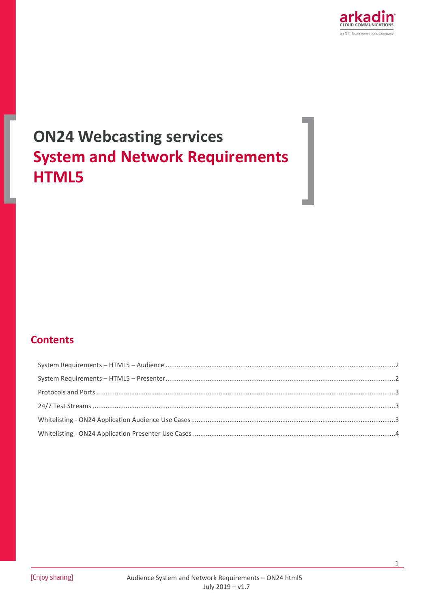

# **ON24 Webcasting services System and Network Requirements HTML5**

### **Contents**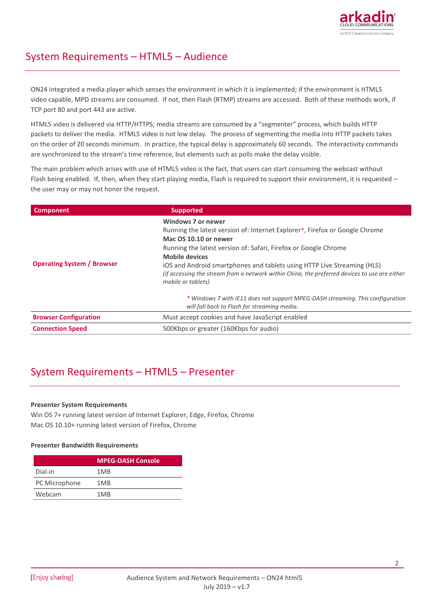

### <span id="page-1-0"></span>System Requirements – HTML5 – Audience

ON24 integrated a media player which senses the environment in which it is implemented; if the environment is HTML5 video capable, MPD streams are consumed. If not, then Flash (RTMP) streams are accessed. Both of these methods work, if TCP port 80 and port 443 are active.

HTML5 video is delivered via HTTP/HTTPS; media streams are consumed by a "segmenter" process, which builds HTTP packets to deliver the media. HTML5 video is not low delay. The process of segmenting the media into HTTP packets takes on the order of 20 seconds minimum. In practice, the typical delay is approximately 60 seconds. The interactivity commands are synchronized to the stream's time reference, but elements such as polls make the delay visible.

The main problem which arises with use of HTML5 video is the fact, that users can start consuming the webcast without Flash being enabled. If, then, when they start playing media, Flash is required to support their environment, it is requested – the user may or may not honor the request.

| <b>Component</b>                  | <b>Supported</b>                                                                                                                                                                                                                                                                                                                                                                                                                                                                                                                                           |
|-----------------------------------|------------------------------------------------------------------------------------------------------------------------------------------------------------------------------------------------------------------------------------------------------------------------------------------------------------------------------------------------------------------------------------------------------------------------------------------------------------------------------------------------------------------------------------------------------------|
| <b>Operating System / Browser</b> | Windows 7 or newer<br>Running the latest version of: Internet Explorer*, Firefox or Google Chrome<br>Mac OS 10.10 or newer<br>Running the latest version of: Safari, Firefox or Google Chrome<br><b>Mobile devices</b><br>iOS and Android smartphones and tablets using HTTP Live Streaming (HLS)<br>(if accessing the stream from a network within China, the preferred devices to use are either<br>mobile or tablets)<br>* Windows 7 with IE11 does not support MPEG-DASH streaming. This configuration<br>will fall back to Flash for streaming media. |
| <b>Browser Configuration</b>      | Must accept cookies and have JavaScript enabled                                                                                                                                                                                                                                                                                                                                                                                                                                                                                                            |
| <b>Connection Speed</b>           | 500Kbps or greater (160Kbps for audio)                                                                                                                                                                                                                                                                                                                                                                                                                                                                                                                     |

# <span id="page-1-1"></span>System Requirements – HTML5 – Presenter

### **Presenter System Requirements**

Win OS 7+ running latest version of Internet Explorer, Edge, Firefox, Chrome Mac OS 10.10+ running latest version of Firefox, Chrome

### **Presenter Bandwidth Requirements**

|               | <b>MPEG-DASH Console</b> |
|---------------|--------------------------|
| Dial-in       | 1MB                      |
| PC Microphone | 1MB                      |
| Webcam        | 1MB                      |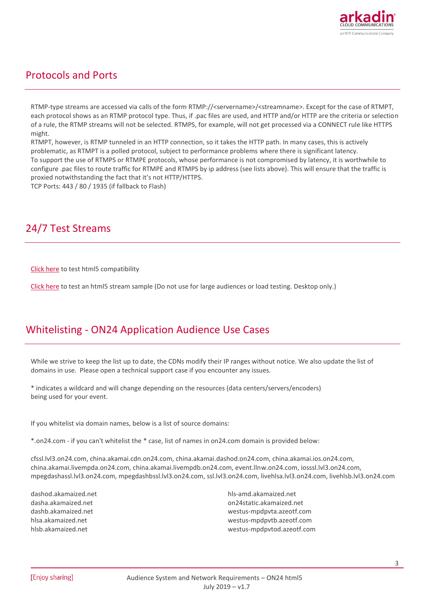

### <span id="page-2-0"></span>Protocols and Ports

RTMP-type streams are accessed via calls of the form RTMP://<servername>/<streamname>. Except for the case of RTMPT, each protocol shows as an RTMP protocol type. Thus, if .pac files are used, and HTTP and/or HTTP are the criteria or selection of a rule, the RTMP streams will not be selected. RTMPS, for example, will not get processed via a CONNECT rule like HTTPS might.

RTMPT, however, is RTMP tunneled in an HTTP connection, so it takes the HTTP path. In many cases, this is actively problematic, as RTMPT is a polled protocol, subject to performance problems where there is significant latency. To support the use of RTMPS or RTMPE protocols, whose performance is not compromised by latency, it is worthwhile to configure .pac files to route traffic for RTMPE and RTMPS by ip address (see lists above). This will ensure that the traffic is proxied notwithstanding the fact that it's not HTTP/HTTPS.

TCP Ports: 443 / 80 / 1935 (if fallback to Flash)

# <span id="page-2-1"></span>24/7 Test Streams

[Click here](https://event.on24.com/clients/elite/html5-test/) to test html5 compatibility

[Click here](http://event.on24.com/wcc/r/1404657/CD67151CC8FDA22F92788AD2C8837738) to test an html5 stream sample (Do not use for large audiences or load testing. Desktop only.)

### <span id="page-2-2"></span>Whitelisting - ON24 Application Audience Use Cases

While we strive to keep the list up to date, the CDNs modify their IP ranges without notice. We also update the list of domains in use. Please open a technical support case if you encounter any issues.

\* indicates a wildcard and will change depending on the resources (data centers/servers/encoders) being used for your event.

If you whitelist via domain names, below is a list of source domains:

\*.on24.com - if you can't whitelist the \* case, list of names in on24.com domain is provided below:

cfssl.lvl3.on24.com, china.akamai.cdn.on24.com, china.akamai.dashod.on24.com, china.akamai.ios.on24.com, china.akamai.livempda.on24.com, china.akamai.livempdb.on24.com, event.llnw.on24.com, iosssl.lvl3.on24.com, mpegdashassl.lvl3.on24.com, mpegdashbssl.lvl3.on24.com, ssl.lvl3.on24.com, livehlsa.lvl3.on24.com, livehlsb.lvl3.on24.com

dashod.akamaized.net dasha.akamaized.net dashb.akamaized.net hlsa.akamaized.net hlsb.akamaized.net

hls-amd.akamaized.net on24static.akamaized.net westus-mpdpvta.azeotf.com westus-mpdpvtb.azeotf.com westus-mpdpvtod.azeotf.com